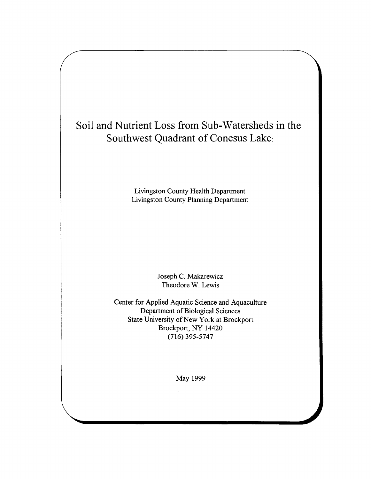# **Soil and Nutrient Loss from Sub-Watersheds in the Southwest Quadrant of Conesus Lake:**

**Livingston County Health Department Livingston County Planning Department**

> **Joseph C. Makarewicz Theodore W. Lewis**

**Center for Applied Aquatic Science and Aquaculture Department of Biological Sciences State University of New York at Brockport Brockport, NY 14420 (716) 395-5747**

**May 1999**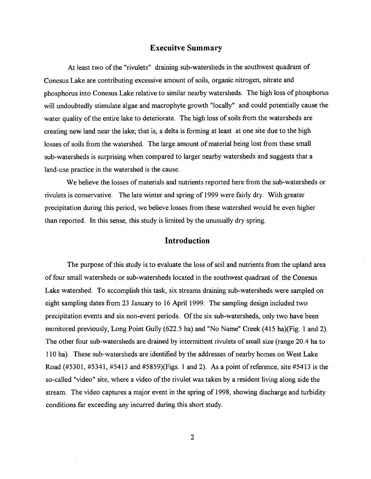### **Execuitve Summary**

At least two of the "rivulets" draining sub-watersheds in the southwest quadrant of Conesus Lake are contributing excessive amount of soils, organic nitrogen, nitrate and phosphorus into Conesus Lake relative to similar nearby watersheds. The high loss of phosphorus **will undoubtedly stimulate algae and macrophyte growth "locally" and could potentially cause the** water quality of the entire lake to deteriorate. The high loss of soils from the watersheds are **creating new land near the lake; that is, a delta is forming at least at one site due to the high** losses of soils from the watershed. The large amount of material being lost from these small **sub-watersheds is surprising when compared to larger nearby watersheds and suggests that a land-use practice in the watershed is the cause.**

We believe the losses of materials and nutrients reported here from the sub-watersheds or rivulets is conservative. The late winter and spring of 1999 were fairly dry. With greater precipitation during this period, we believe losses from these watershed would be even higher **than reported. In this sense, this study is limited by the unusually dry spring.**

## **Introduction**

The purpose of this study is to evaluate the loss of soil and nutrients from the upland area of four small watersheds or sub-watersheds located in the southwest quadrant of the Conesus **Lake watershed. To accomplish this task, six streams draining sub-watersheds were sampled on eight sampling dates from 23 January to 16 April 1999. The sampling design included two** precipitation events and six non-event periods. Of the six sub-watersheds, only two have been **monitored previously, Long Point Gully (622.5 ha) and "No Name" Creek (415 ha)(Fig. 1 and 2).** The other four sub-watersheds are drained by intermittent rivulets of small size (range 20.4 ha to 110 ha). These sub-watersheds are identified by the addresses of nearby homes on West Lake Road (#5301, #5341, #5413 and #5859)(Figs. 1 and 2). As a point of reference, site #5413 is the so-called "video" site, where a video of the rivulet was taken by a resident living along side the stream. The video captures a major event in the spring of 1998, showing discharge and turbidity **conditions far exceeding any incurred during this short study.**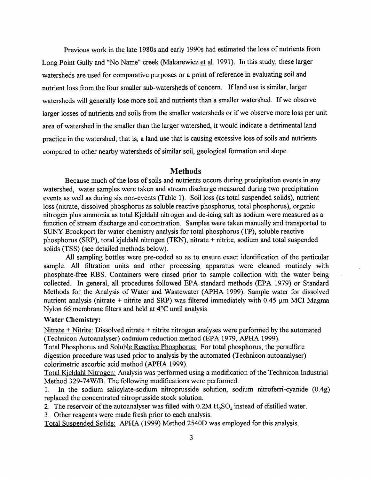Previous work in the late 1980s and early 1990s had estimated the loss of nutrients from **Long Point Gully and "No Name" creek (Makarewicz et al. 1991). In this study, these larger** watersheds are used for comparative purposes or a point of reference in evaluating soil and nutrient loss from the four smaller sub-watersheds of concern. If land use is similar, larger watersheds will generally lose more soil and nutrients than a smaller watershed. If we observe larger losses of nutrients and soils from the smaller watersheds or if we observe more loss per unit area of watershed in the smaller than the larger watershed, it would indicate a detrimental land practice in the watershed; that is, a land use that is causing excessive loss of soils and nutrients compared to other nearby watersheds of similar soil, geological formation and slope.

#### **Methods**

Because much of the loss of soils and nutrients occurs during precipitation events in any watershed, water samples were taken and stream discharge measured during two precipitation **events as well as during six non-events (Table 1). Soil loss (as total suspended solids), nutrient loss (nitrate, dissolved phosphorus as soluble reactive phosphorus, total phosphorus), organic nitrogen plus ammonia as total Kjeldahl nitrogen and de-icing salt as sodium were measured as a** function of stream discharge and concentration. Samples were taken manually and transported to **SUNY Brockport for water chemistry analysis for total phosphorus (TP), soluble reactive phosphorus (SRP), total kjeldahl nitrogen (TKN), nitrate + nitrite, sodium and total suspended solids (TSS) (see detailed methods below).**

All sampling bottles were pre-coded so as to ensure exact identification of the particular **sample. All filtration units and other processing apparatus were cleaned routinely with phosphate-free RBS. Containers were rinsed prior to sample collection with the water being collected. In general, all procedures followed EPA standard methods (EPA 1979) or Standard** Methods for the Analysis of Water and Wastewater (APHA 1999). Sample water for dissolved nutrient analysis (nitrate  $+$  nitrite and SRP) was filtered immediately with 0.45  $\mu$ m MCI Magma **Nylon 66 membrane filters and held at 4°C until analysis.**

#### **Water Chemistry:**

**Nitrate + Nitrite: Dissolved nitrate + nitrite nitrogen analyses were performed by the automated (Technicon Autoanalyser) cadmium reduction method (EPA 1979, APHA 1999).**

**Total Phosphorus and Soluble Reactive Phosphorus: For total phosphorus, the persulfate digestion procedure was used prior to analysis by the automated (Technicon autoanalyser) colorimetric ascorbic acid method (APHA 1999).**

Total Kjeldahl Nitrogen: Analysis was performed using a modification of the Technicon Industrial **Method 329-74W /B. The following modifications were performed:**

**1. In the sodium salicylate-sodium nitroprusside solution, sodium nitroferri-cyanide (0.4g) replaced the concentrated nitroprusside stock solution.**

2. The reservoir of the autoanalyser was filled with 0.2M H<sub>2</sub>SO<sub>4</sub> instead of distilled water.

**3. Other reagents were made fresh prior to each analysis.**

**Total Suspended Solids: APHA (1999) Method 2540D was employed for this analysis.**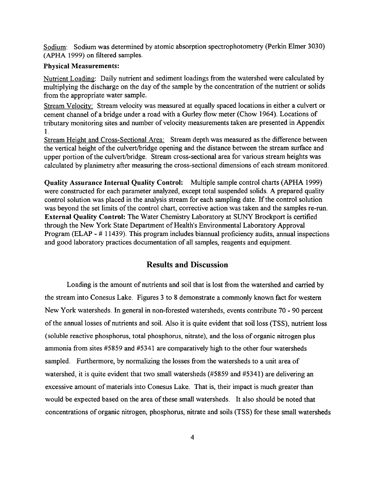**Sodium: Sodium was determined by atomic absorption spectrophotometry (Perkin Elmer 3030)** (APHA 1999) on filtered samples.

#### **Physical Measurements:**

**Nutrient Loading: Daily nutrient and sediment loadings from the watershed were calculated by** multiplying the discharge on the day of the sample by the concentration of the nutrient or solids **ffom the appropriate water sample.**

**Stream Velocity: Stream velocity was measured at equally spaced locations in either a culvert or** cement channel of a bridge under a road with a Gurley flow meter (Chow 1964). Locations of tributary monitoring sites and number of velocity measurements taken are presented in Appendix **1.**

**Stream Height and Cross-Sectional Area: Stream depth was measured as the difference between** the vertical height of the culvert/bridge opening and the distance between the stream surface and upper portion of the culvert/bridge. Stream cross-sectional area for various stream heights was calculated by planimetry after measuring the cross-sectional dimensions of each stream monitored.

**Quality Assurance Internal Quality Control:** Multiple sample control charts (APHA 1999) **were constructed for each parameter analyzed, except total suspended solids. A prepared quality control solution was placed in the analysis stream for each sampling date. If the control solution** was beyond the set limits of the control chart, corrective action was taken and the samples re-run. **External Quality Control:** The Water Chemistry Laboratory at SUNY Brockport is certified through the New York State Department of Health's Environmental Laboratory Approval **Program (ELAP - # 11439). This program includes biannual proficiency audits, annual inspections** and good laboratory practices documentation of all samples, reagents and equipment.

# **Results and Discussion**

Loading is the amount of nutrients and soil that is lost from the watershed and carried by **the stream into Conesus Lake. Figures 3 to 8 demonstrate a commonly known fact for western** New York watersheds. In general in non-forested watersheds, events contribute 70 - 90 percent of the annual losses of nutrients and soil. Also it is quite evident that soil loss *(TSS)*, nutrient loss (soluble reactive phosphorus, total phosphorus, nitrate), and the loss of organic nitrogen plus **ammonia from sites #5859 and #5341 are comparatively high to the other four watersheds** sampled. Furthermore, by normalizing the losses from the watersheds to a unit area of **watershed, it is quite evident that two small watersheds (#5859 and #5341) are delivering an** excessive amount of materials into Conesus Lake. That is, their impact is much greater than would be expected based on the area of these small watersheds. It also should be noted that concentrations of organic nitrogen, phosphorus, nitrate and soils (TSS) for these small watersheds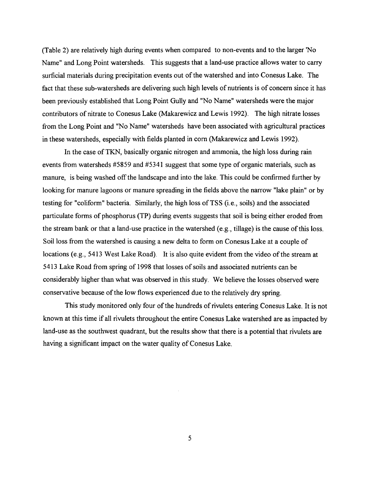(Table 2) are relatively high during events when compared to non-events and to the larger No **Name" and Long Point watersheds. This suggests that a land-use practice allows water to carry** surficial materials during precipitation events out of the watershed and into Conesus Lake. The fact that these sub-watersheds are delivering such high levels of nutrients is of concern since it has **been previously established that Long Point Gully and "No Name" watersheds were the major** contributors of nitrate to Conesus Lake (Makarewicz and Lewis 1992). The high nitrate losses **from the Long Point and "No Name" watersheds have been associated with agricultural practices in these watersheds, especially with fields planted in com (Makarewicz and Lewis 1992).**

In the case of TKN, basically organic nitrogen and ammonia, the high loss during rain events from watersheds #5859 and #5341 suggest that some type of organic materials, such as manure, is being washed off the landscape and into the lake. This could be confirmed further by **looking for manure lagoons or manure spreading in the fields above the narrow "lake plain" or by** testing for "coliform" bacteria. Similarly, the high loss of TSS (i.e., soils) and the associated particulate forms of phosphorus (TP) during events suggests that soil is being either eroded from the stream bank or that a land-use practice in the watershed (e.g., tillage) is the cause of this loss. Soil loss from the watershed is causing a new delta to form on Conesus Lake at a couple of locations (e.g., 5413 West Lake Road). It is also quite evident from the video of the stream at 5413 Lake Road from spring of 1998 that losses of soils and associated nutrients can be considerably higher than what was observed in this study. We believe the losses observed were conservative because of the low flows experienced due to the relatively dry spring.

This study monitored only four of the hundreds of rivulets entering Conesus Lake. It is not **known at this time if all rivulets throughout the entire Conesus Lake watershed are as impacted by land-use as the southwest quadrant, but the results show that there is a potential that rivulets are** having a significant impact on the water quality of Conesus Lake.

**5**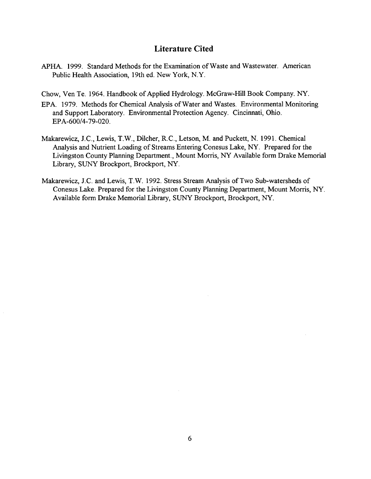## **Literature Cited**

- APHA. 1999. Standard Methods for the Examination of Waste and Wastewater. American Public Health Association, 19th ed. New York, N.Y.
- Chow, Ven Te. 1964. Handbook of Applied Hydrology. McGraw-Hill Book Company. NY.
- **EPA.** 1979. Methods for Chemical Analysis of Water and Wastes. Environmental Monitoring **and Support Laboratory. Environmental Protection Agency. Cincinnati, Ohio. EPA -600/4-79-020.**
- **Makarewicz, J.C., Lewis, T.W., Dilcher, R.C., Letson, M. and Puckett, N. 1991. Chemical** Analysis and Nutrient Loading of Streams Entering Conesus Lake, NY. Prepared for the Livingston County Planning Department., Mount Morris, NY Available form Drake Memorial Library, SUNY Brockport, Brockport, NY.
- Makarewicz, J.C. and Lewis, T.W. 1992. Stress Stream Analysis of Two Sub-watersheds of **Conesus Lake. Prepared for the Livingston County Planning Department, Mount Morris, NY.** Available form Drake Memorial Library, SUNY Brockport, Brockport, NY.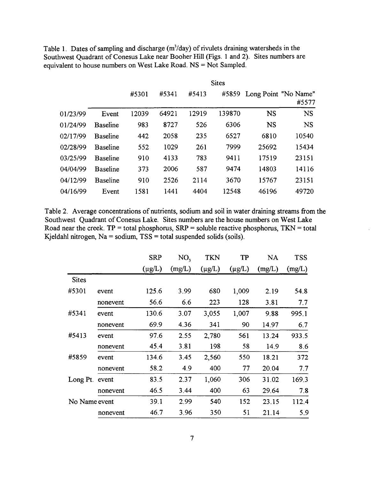Table 1. Dates of sampling and discharge (m<sup>3</sup>/day) of rivulets draining watersheds in the Southwest Quadrant of Conesus Lake near Booher Hill (Figs. 1 and 2). Sites numbers are equivalent to house numbers on West Lake Road. NS = Not Sampled.

|          |                 | <b>Sites</b> |       |       |        |           |                               |
|----------|-----------------|--------------|-------|-------|--------|-----------|-------------------------------|
|          |                 | #5301        | #5341 | #5413 | #5859  |           | Long Point "No Name"<br>#5577 |
| 01/23/99 | Event           | 12039        | 64921 | 12919 | 139870 | <b>NS</b> | <b>NS</b>                     |
| 01/24/99 | <b>Baseline</b> | 983          | 8727  | 526   | 6306   | <b>NS</b> | <b>NS</b>                     |
| 02/17/99 | <b>Baseline</b> | 442          | 2058  | 235   | 6527   | 6810      | 10540                         |
| 02/28/99 | <b>Baseline</b> | 552          | 1029  | 261   | 7999   | 25692     | 15434                         |
| 03/25/99 | <b>Baseline</b> | 910          | 4133  | 783   | 9411   | 17519     | 23151                         |
| 04/04/99 | <b>Baseline</b> | 373          | 2006  | 587   | 9474   | 14803     | 14116                         |
| 04/12/99 | <b>Baseline</b> | 910          | 2526  | 2114  | 3670   | 15767     | 23151                         |
| 04/16/99 | Event           | 1581         | 1441  | 4404  | 12548  | 46196     | 49720                         |

Table 2. Average concentrations of nutrients, sodium and soil in water draining streams from the Southwest Quadrant of Conesus Lake. Sites numbers are the house numbers on West Lake **Road near the creek. TP = total phosphorus, SRP = soluble reactive phosphorus, TKN = total** Kjeldahl nitrogen,  $Na = sodium$ ,  $TSS = total$  suspended solids (soils).

|               |          | <b>SRP</b>  | NO <sub>3</sub> | <b>TKN</b>  | TP          | <b>NA</b> | <b>TSS</b> |
|---------------|----------|-------------|-----------------|-------------|-------------|-----------|------------|
|               |          | $(\mu g/L)$ | (mg/L)          | $(\mu g/L)$ | $(\mu g/L)$ | (mg/L)    | (mg/L)     |
| <b>Sites</b>  |          |             |                 |             |             |           |            |
| #5301         | event    | 125.6       | 3.99            | 680         | 1,009       | 2.19      | 54.8       |
|               | nonevent | 56.6        | 6.6             | 223         | 128         | 3.81      | 7.7        |
| #5341         | event    | 130.6       | 3.07            | 3,055       | 1,007       | 9.88      | 995.1      |
|               | nonevent | 69.9        | 4.36            | 341         | 90          | 14.97     | 6.7        |
| #5413         | event    | 97.6        | 2.55            | 2,780       | 561         | 13.24     | 933.5      |
|               | nonevent | 45.4        | 3.81            | 198         | 58          | 14.9      | 8.6        |
| #5859         | event    | 134.6       | 3.45            | 2,560       | 550         | 18.21     | 372        |
|               | nonevent | 58.2        | 4.9             | 400         | 77          | 20.04     | 7.7        |
| Long Pt.      | event    | 83.5        | 2.37            | 1,060       | 306         | 31.02     | 169.3      |
|               | nonevent | 46.5        | 3.44            | 400         | 63          | 29.64     | 7.8        |
| No Name event |          | 39.1        | 2.99            | 540         | 152         | 23.15     | 112.4      |
|               | nonevent | 46.7        | 3.96            | 350         | 51          | 21.14     | 5.9        |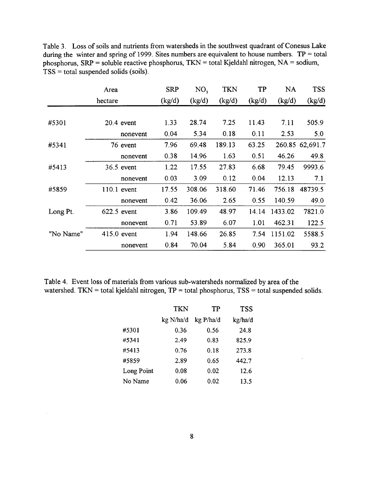Table 3. Loss of soils and nutrients from watersheds in the southwest quadrant of Conesus Lake during the winter and spring of 1999. Sites numbers are equivalent to house numbers. TP = total phosphorus, SRP = soluble reactive phosphorus, TKN = total Kjeldahl nitrogen, NA = sodium, **TSS = total suspended solids (soils).**

|           | Area          |          | <b>SRP</b> | NO <sub>3</sub> | <b>TKN</b> | <b>TP</b> | <b>NA</b> | <b>TSS</b>      |
|-----------|---------------|----------|------------|-----------------|------------|-----------|-----------|-----------------|
|           | hectare       |          | (kg/d)     | (kg/d)          | (kg/d)     | (kg/d)    | (kg/d)    | (kg/d)          |
|           |               |          |            |                 |            |           |           |                 |
| #5301     | $20.4$ event  |          | 1.33       | 28.74           | 7.25       | 11.43     | 7.11      | 505.9           |
|           |               | nonevent | 0.04       | 5.34            | 0.18       | 0.11      | 2.53      | 5.0             |
| #5341     |               | 76 event | 7.96       | 69.48           | 189.13     | 63.25     |           | 260.85 62,691.7 |
|           |               | nonevent | 0.38       | 14.96           | 1.63       | 0.51      | 46.26     | 49.8            |
| #5413     | $36.5$ event  |          | 1.22       | 17.55           | 27.83      | 6.68      | 79.45     | 9993.6          |
|           |               | nonevent | 0.03       | 3.09            | 0.12       | 0.04      | 12.13     | 7.1             |
| #5859     | $110.1$ event |          | 17.55      | 308.06          | 318.60     | 71.46     | 756.18    | 48739.5         |
|           |               | nonevent | 0.42       | 36.06           | 2.65       | 0.55      | 140.59    | 49.0            |
| Long Pt.  | 622.5 event   |          | 3.86       | 109.49          | 48.97      | 14.14     | 1433.02   | 7821.0          |
|           |               | nonevent | 0.71       | 53.89           | 6.07       | 1.01      | 462.31    | 122.5           |
| "No Name" | $415.0$ event |          | 1.94       | 148.66          | 26.85      | 7.54      | 1151.02   | 5588.5          |
|           |               | nonevent | 0.84       | 70.04           | 5.84       | 0.90      | 365.01    | 93.2            |

Table 4. Event loss of materials from various sub-watersheds normalized by area of the watershed. TKN = total kjeldahl nitrogen, TP = total phosphorus, TSS = total suspended solids.

|            | <b>TKN</b> | TP        | <b>TSS</b> |
|------------|------------|-----------|------------|
|            | kg N/ha/d  | kg P/ha/d | kg/ha/d    |
| #5301      | 0.36       | 0.56      | 24.8       |
| #5341      | 2.49       | 0.83      | 825.9      |
| #5413      | 0.76       | 0.18      | 273.8      |
| #5859      | 2.89       | 0.65      | 442.7      |
| Long Point | 0.08       | 0.02      | 12.6       |
| No Name    | 0.06       | 0.02      | 13.5       |
|            |            |           |            |

 $\mathcal{A}^{\mathcal{A}}$ 

 $\sim$ 

 $\hat{\boldsymbol{\epsilon}}$ 

**8**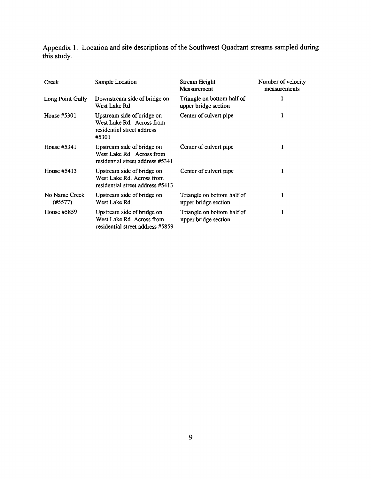Appendix 1. Location and site descriptions of the Southwest Quadrant streams sampled during **this study.**

| Creek                    | Sample Location                                                                                | Stream Height<br>Measurement                       | Number of velocity<br>measurements |
|--------------------------|------------------------------------------------------------------------------------------------|----------------------------------------------------|------------------------------------|
| Long Point Gully         | Downstream side of bridge on<br>West Lake Rd                                                   | Triangle on bottom half of<br>upper bridge section | 1                                  |
| House #5301              | Upstream side of bridge on<br>West Lake Rd. Across from<br>residential street address<br>#5301 | Center of culvert pipe                             | ı                                  |
| House $#5341$            | Upstream side of bridge on<br>West Lake Rd. Across from<br>residential street address #5341    | Center of culvert pipe                             | 1                                  |
| House #5413              | Upstream side of bridge on<br>West Lake Rd. Across from<br>residential street address #5413    | Center of culvert pipe                             | ı                                  |
| No Name Creek<br>(#5577) | Upstream side of bridge on<br>West Lake Rd.                                                    | Triangle on bottom half of<br>upper bridge section | ı                                  |
| House #5859              | Upstream side of bridge on<br>West Lake Rd. Across from<br>residential street address #5859    | Triangle on bottom half of<br>upper bridge section | 1                                  |

 $\sim$   $\sim$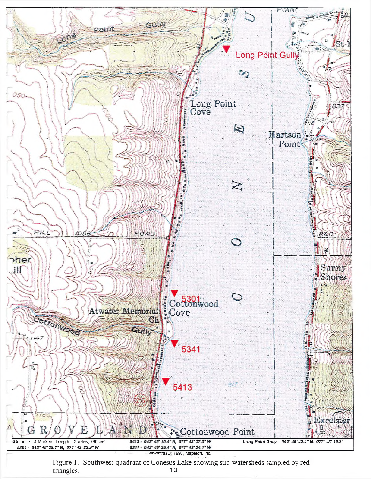

Figure 1. Southwest quadrant of Conesus Lake showing sub-watersheds sampled by red<br>  $\frac{10}{2}$ triangles.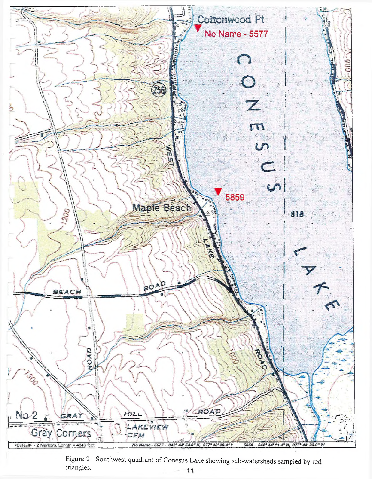

Figure 2. Southwest quadrant of Conesus Lake showing sub-watersheds sampled by red triangles.  $11$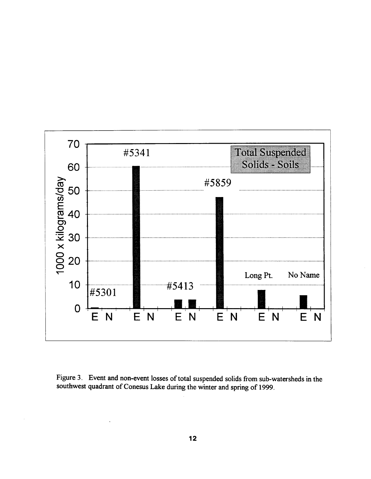

Figure 3. Event and non-event losses of total suspended solids from sub-watersheds in the southwest quadrant of Conesus Lake during the winter and spring of 1999.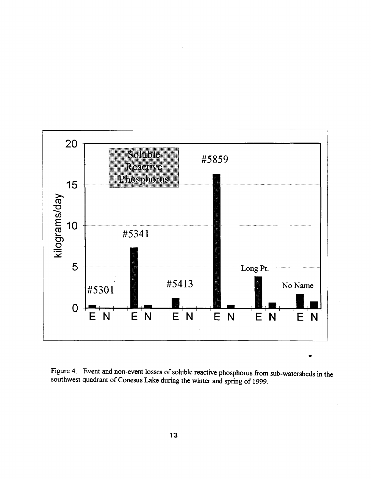

Figure 4. Event and non-event losses of soluble reactive phosphorus from sub-watersheds in the southwest quadrant of Conesus Lake during the winter and spring of 1999.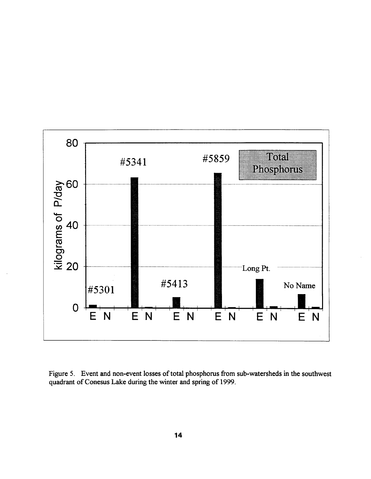

Figure 5. Event and non-event losses of total phosphorus from sub-watersheds in the southwest quadrant of Conesus Lake during the winter and spring of 1999.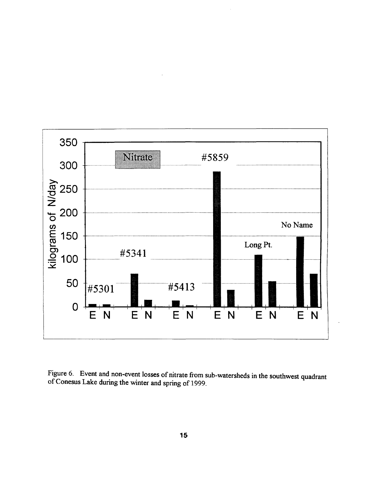

Figure 6. Event and non-event losses of nitrate from sub-watersheds in the southwest quadrant of Conesus Lake during the winter and spring of 1999.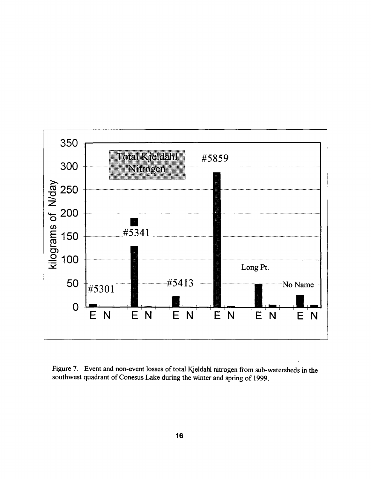

Figure 7. Event and non-event losses of total Kjeldahl nitrogen from sub-watersheds in the southwest quadrant of Conesus Lake during the winter and spring of 1999.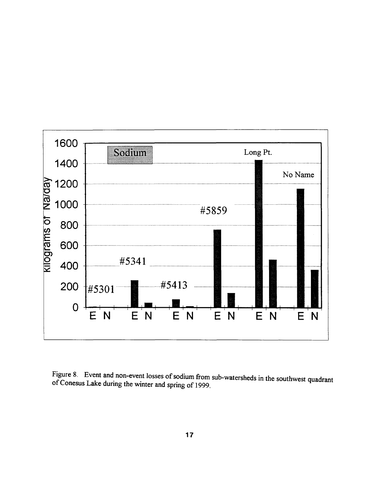

Figure 8. Event and non-event losses of sodium from sub-watersheds in the southwest quadrant of Conesus Lake during the winter and spring of 1999.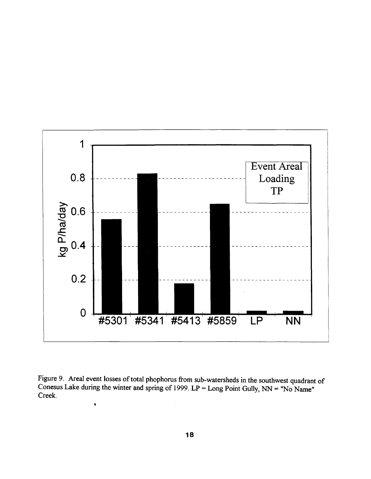

Figure 9. Areal event losses of total phophorus from sub-watersheds in the southwest quadrant of Conesus Lake during the winter and spring of 1999.  $LP = Long$  Point Gully,  $NN = "No$  Name" **Creek.**

 $\bar{z}$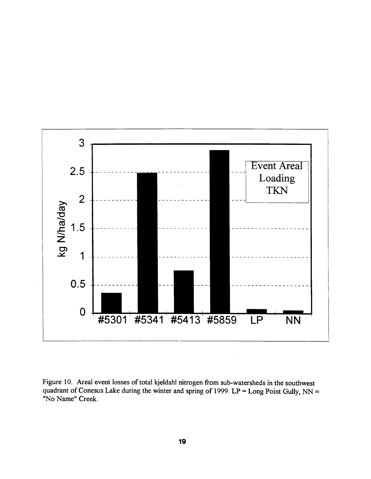

Figure 10. Areal event losses of total kjeldahl nitrogen from sub-watersheds in the southwest quadrant of Conesus Lake during the winter and spring of 1999. LP = Long Point Gully, NN = **"No Name" Creek.**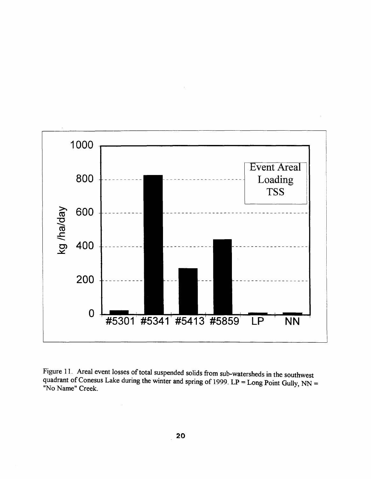

Figure 11. Areal event losses of total suspended solids from sub-watersheds in the southwest quadrant of Conesus Lake during the winter and spring of 1999.  $LP = Long$  Point Gully  $NN =$ **"No Name" Creek.** *y '*